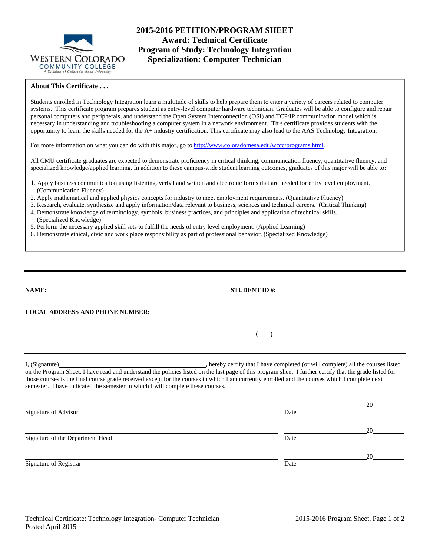

# **2015-2016 PETITION/PROGRAM SHEET Award: Technical Certificate Program of Study: Technology Integration Specialization: Computer Technician**

## **About This Certificate . . .**

Students enrolled in Technology Integration learn a multitude of skills to help prepare them to enter a variety of careers related to computer systems. This certificate program prepares student as entry-level computer hardware technician. Graduates will be able to configure and repair personal computers and peripherals, and understand the Open System Interconnection (OSI) and TCP/IP communication model which is necessary in understanding and troubleshooting a computer system in a network environment.. This certificate provides students with the opportunity to learn the skills needed for the A+ industry certification. This certificate may also lead to the AAS Technology Integration.

For more information on what you can do with this major, go to http://www.coloradomesa.edu/wccc/programs.html.

All CMU certificate graduates are expected to demonstrate proficiency in critical thinking, communication fluency, quantitative fluency, and specialized knowledge/applied learning. In addition to these campus-wide student learning outcomes, graduates of this major will be able to:

- 1. Apply business communication using listening, verbal and written and electronic forms that are needed for entry level employment. (Communication Fluency)
- 2. Apply mathematical and applied physics concepts for industry to meet employment requirements. (Quantitative Fluency)
- 3. Research, evaluate, synthesize and apply information/data relevant to business, sciences and technical careers. (Critical Thinking) 4. Demonstrate knowledge of terminology, symbols, business practices, and principles and application of technical skills.
- (Specialized Knowledge)
- 5. Perform the necessary applied skill sets to fulfill the needs of entry level employment. (Applied Learning)
- 6. Demonstrate ethical, civic and work place responsibility as part of professional behavior. (Specialized Knowledge)

|                                                                                                                                                                                                                                   | STUDENT ID $#$ :                                                                                                                                                                                                              |    |  |  |  |
|-----------------------------------------------------------------------------------------------------------------------------------------------------------------------------------------------------------------------------------|-------------------------------------------------------------------------------------------------------------------------------------------------------------------------------------------------------------------------------|----|--|--|--|
|                                                                                                                                                                                                                                   | LOCAL ADDRESS AND PHONE NUMBER: University of the contract of the contract of the contract of the contract of the contract of the contract of the contract of the contract of the contract of the contract of the contract of |    |  |  |  |
|                                                                                                                                                                                                                                   |                                                                                                                                                                                                                               |    |  |  |  |
|                                                                                                                                                                                                                                   | $\overline{a}$ (b) and the set of $\overline{a}$ (c) and the set of $\overline{a}$ (c) and the set of $\overline{a}$                                                                                                          |    |  |  |  |
| those courses is the final course grade received except for the courses in which I am currently enrolled and the courses which I complete next<br>semester. I have indicated the semester in which I will complete these courses. |                                                                                                                                                                                                                               |    |  |  |  |
|                                                                                                                                                                                                                                   |                                                                                                                                                                                                                               | 20 |  |  |  |
| Signature of Advisor                                                                                                                                                                                                              | Date                                                                                                                                                                                                                          |    |  |  |  |
|                                                                                                                                                                                                                                   |                                                                                                                                                                                                                               | 20 |  |  |  |
| Signature of the Department Head                                                                                                                                                                                                  | Date                                                                                                                                                                                                                          |    |  |  |  |
|                                                                                                                                                                                                                                   |                                                                                                                                                                                                                               | 20 |  |  |  |
| Signature of Registrar                                                                                                                                                                                                            | Date                                                                                                                                                                                                                          |    |  |  |  |